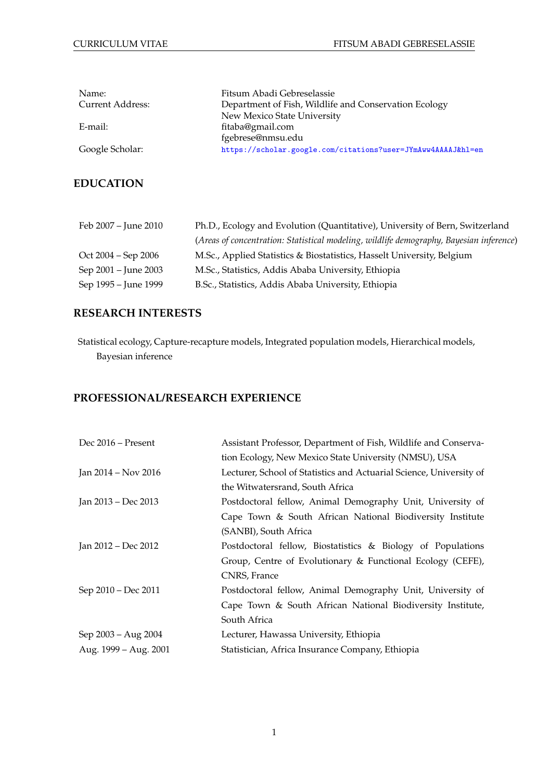| Name:            | Fitsum Abadi Gebreselassie                                   |
|------------------|--------------------------------------------------------------|
| Current Address: | Department of Fish, Wildlife and Conservation Ecology        |
|                  | New Mexico State University                                  |
| E-mail:          | fitaba@gmail.com                                             |
|                  | fgebrese@nmsu.edu                                            |
| Google Scholar:  | https://scholar.google.com/citations?user=JYmAww4AAAAJ&hl=en |

# **EDUCATION**

| Feb 2007 - June 2010 | Ph.D., Ecology and Evolution (Quantitative), University of Bern, Switzerland            |
|----------------------|-----------------------------------------------------------------------------------------|
|                      | (Areas of concentration: Statistical modeling, wildlife demography, Bayesian inference) |
| Oct 2004 – Sep 2006  | M.Sc., Applied Statistics & Biostatistics, Hasselt University, Belgium                  |
| Sep 2001 – June 2003 | M.Sc., Statistics, Addis Ababa University, Ethiopia                                     |
| Sep 1995 – June 1999 | B.Sc., Statistics, Addis Ababa University, Ethiopia                                     |

# **RESEARCH INTERESTS**

Statistical ecology, Capture-recapture models, Integrated population models, Hierarchical models, Bayesian inference

# **PROFESSIONAL/RESEARCH EXPERIENCE**

| Dec 2016 – Present    | Assistant Professor, Department of Fish, Wildlife and Conserva-     |
|-----------------------|---------------------------------------------------------------------|
|                       | tion Ecology, New Mexico State University (NMSU), USA               |
| Jan 2014 – Nov 2016   | Lecturer, School of Statistics and Actuarial Science, University of |
|                       | the Witwatersrand, South Africa                                     |
| Jan 2013 - Dec 2013   | Postdoctoral fellow, Animal Demography Unit, University of          |
|                       | Cape Town & South African National Biodiversity Institute           |
|                       | (SANBI), South Africa                                               |
| Jan 2012 – Dec 2012   | Postdoctoral fellow, Biostatistics & Biology of Populations         |
|                       | Group, Centre of Evolutionary & Functional Ecology (CEFE),          |
|                       | CNRS, France                                                        |
| Sep 2010 - Dec 2011   | Postdoctoral fellow, Animal Demography Unit, University of          |
|                       | Cape Town & South African National Biodiversity Institute,          |
|                       | South Africa                                                        |
| Sep 2003 – Aug 2004   | Lecturer, Hawassa University, Ethiopia                              |
| Aug. 1999 - Aug. 2001 | Statistician, Africa Insurance Company, Ethiopia                    |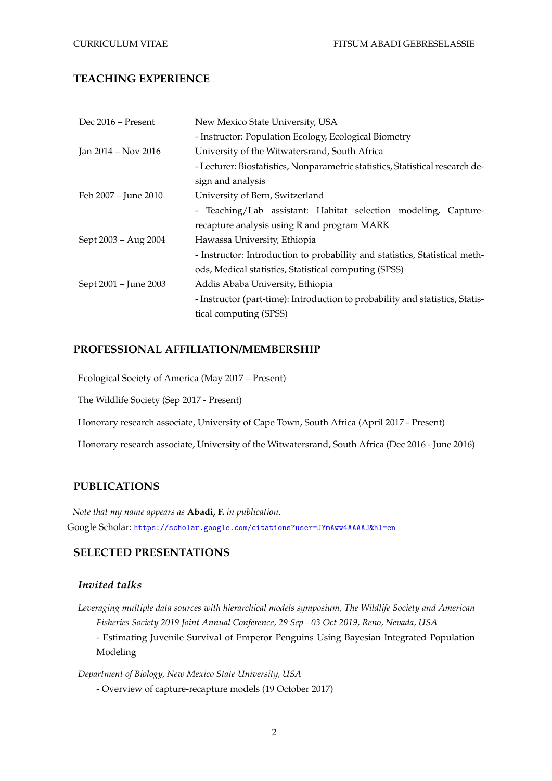## **TEACHING EXPERIENCE**

| Dec 2016 – Present    | New Mexico State University, USA                                              |
|-----------------------|-------------------------------------------------------------------------------|
|                       | - Instructor: Population Ecology, Ecological Biometry                         |
| Jan 2014 – Nov 2016   | University of the Witwatersrand, South Africa                                 |
|                       | - Lecturer: Biostatistics, Nonparametric statistics, Statistical research de- |
|                       | sign and analysis                                                             |
| Feb 2007 - June 2010  | University of Bern, Switzerland                                               |
|                       | - Teaching/Lab assistant: Habitat selection modeling, Capture-                |
|                       | recapture analysis using R and program MARK                                   |
| Sept 2003 – Aug 2004  | Hawassa University, Ethiopia                                                  |
|                       | - Instructor: Introduction to probability and statistics, Statistical meth-   |
|                       | ods, Medical statistics, Statistical computing (SPSS)                         |
| Sept 2001 – June 2003 | Addis Ababa University, Ethiopia                                              |
|                       | - Instructor (part-time): Introduction to probability and statistics, Statis- |
|                       | tical computing (SPSS)                                                        |

### **PROFESSIONAL AFFILIATION/MEMBERSHIP**

Ecological Society of America (May 2017 – Present)

The Wildlife Society (Sep 2017 - Present)

Honorary research associate, University of Cape Town, South Africa (April 2017 - Present)

Honorary research associate, University of the Witwatersrand, South Africa (Dec 2016 - June 2016)

## **PUBLICATIONS**

*Note that my name appears as* **Abadi, F.** *in publication*. Google Scholar: <https://scholar.google.com/citations?user=JYmAww4AAAAJ&hl=en>

### **SELECTED PRESENTATIONS**

#### *Invited talks*

*Leveraging multiple data sources with hierarchical models symposium, The Wildlife Society and American Fisheries Society 2019 Joint Annual Conference, 29 Sep - 03 Oct 2019, Reno, Nevada, USA*

- Estimating Juvenile Survival of Emperor Penguins Using Bayesian Integrated Population Modeling

*Department of Biology, New Mexico State University, USA*

- Overview of capture-recapture models (19 October 2017)